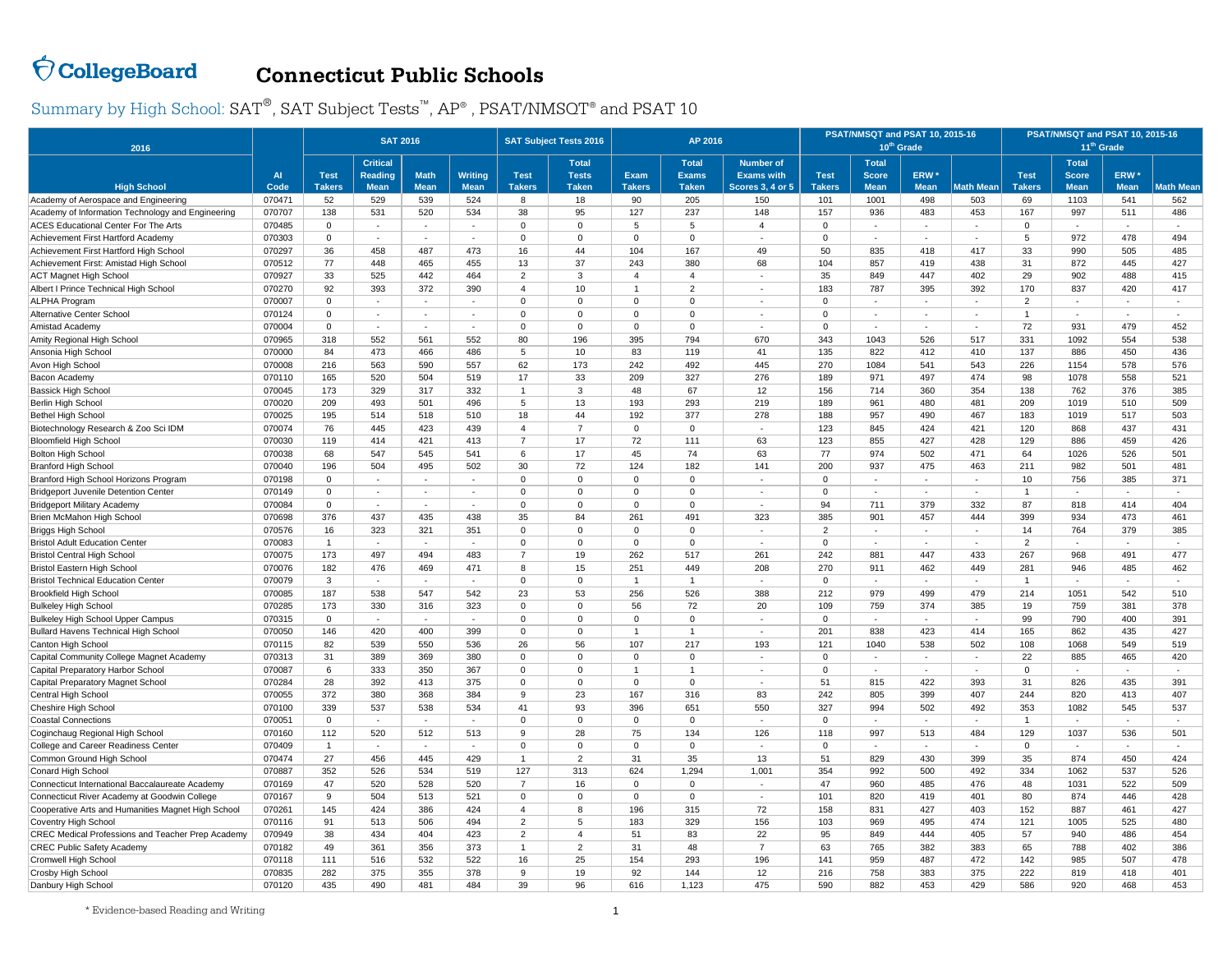## $\bigcirc$  CollegeBoard **Connecticut Public Schools**

Summary by High School:  $\text{SAT}^{\circledast}, \text{SAT}$  Subject Tests™,  $\text{AP}^{\circledast}$  , PSAT/NMSQT® and PSAT 10

| 2016                                               |                |                              | <b>SAT 2016</b>                                  |                            |                               |                                           | <b>SAT Subject Tests 2016</b>                |                       | AP 2016                                      |                                                                  |                              | PSAT/NMSQT and PSAT 10, 2015-16             | 10 <sup>th</sup> Grade          |                          | PSAT/NMSQT and PSAT 10, 2015-16<br>11 <sup>th</sup> Grade |                                             |                                 |                  |  |  |
|----------------------------------------------------|----------------|------------------------------|--------------------------------------------------|----------------------------|-------------------------------|-------------------------------------------|----------------------------------------------|-----------------------|----------------------------------------------|------------------------------------------------------------------|------------------------------|---------------------------------------------|---------------------------------|--------------------------|-----------------------------------------------------------|---------------------------------------------|---------------------------------|------------------|--|--|
| <b>High School</b>                                 | $\overline{A}$ | <b>Test</b><br><b>Takers</b> | <b>Critical</b><br><b>Reading</b><br><b>Mean</b> | <b>Math</b><br><b>Mean</b> | <b>Writing</b><br><b>Mean</b> | <b>Test</b><br><b>Takers</b>              | <b>Total</b><br><b>Tests</b><br><b>Taken</b> | Exam<br><b>Takers</b> | <b>Total</b><br><b>Exams</b><br><b>Taken</b> | <b>Number of</b><br><b>Exams with</b><br><b>Scores 3, 4 or 5</b> | <b>Test</b><br><b>Takers</b> | <b>Total</b><br><b>Score</b><br><b>Mean</b> | ERW <sup>*</sup><br><b>Mean</b> | <b>Math Mean</b>         | <b>Test</b><br><b>Takers</b>                              | <b>Total</b><br><b>Score</b><br><b>Mean</b> | ERW <sup>*</sup><br><b>Mean</b> | <b>Math Mean</b> |  |  |
|                                                    | Code           |                              |                                                  |                            |                               |                                           |                                              |                       |                                              | 150                                                              |                              |                                             |                                 |                          | 69                                                        |                                             | 541                             | 562              |  |  |
| Academy of Aerospace and Engineering               | 070471         | 52                           | 529                                              | 539                        | 524                           | 8                                         | 18                                           | 90                    | 205                                          |                                                                  | 101                          | 1001                                        | 498                             | 503                      |                                                           | 1103<br>997                                 |                                 |                  |  |  |
| Academy of Information Technology and Engineering  | 070707         | 138<br>$\Omega$              | 531                                              | 520                        | 534                           | 38<br>$\Omega$                            | 95<br>$\Omega$                               | 127<br>5              | 237                                          | 148<br>$\overline{4}$                                            | 157<br>$\Omega$              | 936                                         | 483                             | 453                      | 167<br>$\Omega$                                           |                                             | 511                             | 486              |  |  |
| <b>ACES Educational Center For The Arts</b>        | 070485         | $\Omega$                     | $\sim$<br>×.                                     | $\sim$<br>$\sim$           | $\sim$<br>$\sim$              | $\Omega$                                  | $\Omega$                                     | $\overline{0}$        | 5<br>$\Omega$                                |                                                                  | $\Omega$                     | $\sim$<br>$\sim$                            | $\sim$                          | $\sim$<br>÷              | 5                                                         | ٠                                           | $\sim$<br>478                   | 494              |  |  |
| Achievement First Hartford Academy                 | 070303         |                              |                                                  |                            |                               |                                           |                                              |                       |                                              | 49                                                               |                              |                                             |                                 |                          |                                                           | 972<br>990                                  |                                 |                  |  |  |
| Achievement First Hartford High School             | 070297         | 36                           | 458                                              | 487                        | 473                           | 16                                        | 44                                           | 104                   | 167                                          |                                                                  | 50                           | 835                                         | 418                             | 417                      | 33                                                        |                                             | 505                             | 485              |  |  |
| Achievement First: Amistad High Schoo              | 070512         | 77                           | 448                                              | 465                        | 455                           | 13                                        | 37                                           | 243<br>$\overline{4}$ | 380                                          | 68                                                               | 104                          | 857                                         | 419                             | 438                      | 31                                                        | 872                                         | 445                             | 427              |  |  |
| <b>ACT Magnet High School</b>                      | 070927         | 33                           | 525                                              | 442                        | 464                           | $\overline{2}$<br>$\overline{\mathbf{A}}$ | 3                                            | $\overline{1}$        | $\overline{4}$<br>$\overline{2}$             | $\sim$<br>$\sim$                                                 | 35                           | 849                                         | 447                             | 402                      | 29                                                        | 902                                         | 488                             | 415              |  |  |
| Albert I Prince Technical High School              | 070270         | 92<br>$\Omega$               | 393<br>$\sim$                                    | 372                        | 390                           | $\Omega$                                  | 10<br>$\mathsf 0$                            | $\Omega$              | $\Omega$                                     |                                                                  | 183<br>$\Omega$              | 787<br>$\sim$                               | 395                             | 392                      | 170<br>$\overline{2}$                                     | 837<br>$\sim$                               | 420<br>$\sim$                   | 417<br>$\sim$    |  |  |
| <b>ALPHA Program</b>                               | 070007         | $\Omega$                     | ×.                                               | $\sim$<br>$\sim$           | $\sim$                        | $\Omega$                                  | $\Omega$                                     | $\overline{0}$        | $\Omega$                                     | $\sim$                                                           | $\Omega$                     | $\sim$                                      | $\sim$<br>×.                    | ٠<br>÷.                  | $\overline{1}$                                            | ÷.                                          | $\sim$                          | $\sim$           |  |  |
| Alternative Center School                          | 070124         |                              |                                                  |                            | $\sim$                        |                                           |                                              |                       | $\Omega$                                     | ×                                                                | $\Omega$                     |                                             |                                 |                          |                                                           |                                             |                                 |                  |  |  |
| Amistad Academy                                    | 070004         | $\mathbf 0$                  | ×.                                               | $\sim$                     | $\sim$                        | $\mathbf{0}$                              | $\mathbf 0$                                  | $\Omega$              |                                              | $\sim$                                                           |                              | $\sim$                                      | $\sim$                          | ÷.                       | 72                                                        | 931                                         | 479                             | 452              |  |  |
| Amity Regional High School                         | 070965         | 318                          | 552                                              | 561                        | 552                           | 80                                        | 196                                          | 395                   | 794                                          | 670                                                              | 343                          | 1043                                        | 526                             | 517                      | 331                                                       | 1092                                        | 554                             | 538              |  |  |
| Ansonia High School                                | 070000         | 84                           | 473                                              | 466                        | 486                           | 5                                         | 10 <sup>10</sup>                             | 83                    | 119                                          | 41                                                               | 135                          | 822                                         | 412                             | 410                      | 137                                                       | 886                                         | 450                             | 436              |  |  |
| Avon High School                                   | 070008         | 216                          | 563                                              | 590                        | 557                           | 62                                        | 173                                          | 242                   | 492                                          | 445                                                              | 270                          | 1084                                        | 541                             | 543                      | 226                                                       | 1154                                        | 578                             | 576              |  |  |
| Bacon Academy                                      | 070110         | 165                          | 520                                              | 504                        | 519                           | 17                                        | 33                                           | 209                   | 327                                          | 276                                                              | 189                          | 971                                         | 497                             | 474                      | 98                                                        | 1078                                        | 558                             | 521              |  |  |
| <b>Bassick High School</b>                         | 070045         | 173                          | 329                                              | 317                        | 332                           | $\overline{1}$                            | 3                                            | 48                    | 67                                           | 12                                                               | 156                          | 714                                         | 360                             | 354                      | 138                                                       | 762                                         | 376                             | 385              |  |  |
| <b>Berlin High School</b>                          | 070020         | 209                          | 493                                              | 501                        | 496                           | 5                                         | 13                                           | 193                   | 293                                          | 219                                                              | 189                          | 961                                         | 480                             | 481                      | 209                                                       | 1019                                        | 510                             | 509              |  |  |
| <b>Bethel High School</b>                          | 070025         | 195                          | 514                                              | 518                        | 510                           | 18                                        | 44                                           | 192                   | 377                                          | 278                                                              | 188                          | 957                                         | 490                             | 467                      | 183                                                       | 1019                                        | 517                             | 503              |  |  |
| Biotechnology Research & Zoo Sci IDM               | 070074         | 76                           | 445                                              | 423                        | 439                           | $\overline{4}$                            | $\overline{7}$                               | $\Omega$              | $\Omega$                                     | ×,                                                               | 123                          | 845                                         | 424                             | 421                      | 120                                                       | 868                                         | 437                             | 431              |  |  |
| <b>Bloomfield High School</b>                      | 070030         | 119                          | 414                                              | 421                        | 413                           | $\overline{7}$                            | 17                                           | 72                    | 111                                          | 63                                                               | 123                          | 855                                         | 427                             | 428                      | 129                                                       | 886                                         | 459                             | 426              |  |  |
| <b>Bolton High School</b>                          | 070038         | 68                           | 547                                              | 545                        | 541                           | 6                                         | 17                                           | 45                    | 74                                           | 63                                                               | 77                           | 974                                         | 502                             | 471                      | 64                                                        | 1026                                        | 526                             | 501              |  |  |
| <b>Branford High School</b>                        | 070040         | 196                          | 504                                              | 495                        | 502                           | 30                                        | 72                                           | 124                   | 182                                          | 141                                                              | 200                          | 937                                         | 475                             | 463                      | 211                                                       | 982                                         | 501                             | 481              |  |  |
| Branford High School Horizons Program              | 070198         | $\Omega$                     | ×.                                               | $\sim$                     | $\sim$                        | $\Omega$                                  | $\Omega$                                     | $\Omega$              | $\Omega$                                     | $\sim$                                                           | $\Omega$                     | $\sim$                                      | ÷.                              | $\sim$                   | 10                                                        | 756                                         | 385                             | 371              |  |  |
| <b>Bridgeport Juvenile Detention Center</b>        | 070149         | $\Omega$                     | $\sim$                                           | $\sim$                     | $\sim$                        | $\Omega$                                  | $\Omega$                                     | $\Omega$              | $\Omega$                                     | $\sim$                                                           | $\Omega$                     | $\sim$                                      |                                 | ٠                        | $\overline{1}$                                            |                                             | $\overline{\phantom{a}}$        |                  |  |  |
| <b>Bridgeport Military Academy</b>                 | 070084         | $\Omega$                     | ÷.                                               | ×.                         |                               | $\Omega$                                  | $\Omega$                                     | $\Omega$              | $\Omega$                                     | ×,                                                               | 94                           | 711                                         | 379                             | 332                      | 87                                                        | 818                                         | 414                             | 404              |  |  |
| Brien McMahon High School                          | 070698         | 376                          | 437                                              | 435                        | 438                           | 35                                        | 84                                           | 261                   | 491                                          | 323                                                              | 385                          | 901                                         | 457                             | 444                      | 399                                                       | 934                                         | 473                             | 461              |  |  |
| <b>Briggs High School</b>                          | 070576         | 16                           | 323                                              | 321                        | 351                           | $\Omega$                                  | $\Omega$                                     | $\mathbf 0$           | $\Omega$                                     | ÷,                                                               | $\overline{2}$               | $\sim$                                      | $\blacksquare$                  | $\overline{\phantom{a}}$ | 14                                                        | 764                                         | 379                             | 385              |  |  |
| <b>Bristol Adult Education Center</b>              | 070083         | $\mathbf{1}$                 | ÷                                                |                            |                               | $\Omega$                                  | $\Omega$                                     | $\Omega$              | $\Omega$                                     |                                                                  | $\Omega$                     | $\overline{\phantom{a}}$                    |                                 | ÷                        | $\overline{2}$                                            |                                             | $\blacksquare$                  | $\sim$           |  |  |
| <b>Bristol Central High School</b>                 | 070075         | 173                          | 497                                              | 494                        | 483                           | $\overline{7}$                            | 19                                           | 262                   | 517                                          | 261                                                              | 242                          | 881                                         | 447                             | 433                      | 267                                                       | 968                                         | 491                             | 477              |  |  |
| Bristol Eastern High School                        | 070076         | 182                          | 476                                              | 469                        | 471                           | 8                                         | 15                                           | 251                   | 449                                          | 208                                                              | 270                          | 911                                         | 462                             | 449                      | 281                                                       | 946                                         | 485                             | 462              |  |  |
| <b>Bristol Technical Education Center</b>          | 070079         | 3                            | $\epsilon$                                       | ×.                         |                               | $\Omega$                                  | $\Omega$                                     | 1                     | $\overline{1}$                               | ÷,                                                               | $\Omega$                     | $\sim$                                      | ×,                              |                          | 1                                                         |                                             | ä,                              |                  |  |  |
| <b>Brookfield High School</b>                      | 070085         | 187                          | 538                                              | 547                        | 542                           | 23                                        | 53                                           | 256                   | 526                                          | 388                                                              | 212                          | 979                                         | 499                             | 479                      | 214                                                       | 1051                                        | 542                             | 510              |  |  |
| <b>Bulkeley High School</b>                        | 070285         | 173                          | 330                                              | 316                        | 323                           | 0                                         | $\mathbf 0$                                  | 56                    | 72                                           | 20                                                               | 109                          | 759                                         | 374                             | 385                      | 19                                                        | 759                                         | 381                             | 378              |  |  |
| <b>Bulkeley High School Upper Campus</b>           | 070315         | $\mathbf 0$                  | $\overline{\phantom{a}}$                         | $\sim$                     | $\sim$                        | 0                                         | $\Omega$                                     | $\mathbf 0$           | $\mathbf 0$                                  | $\sim$                                                           | $\mathbf 0$                  | $\sim$                                      | $\sim$                          | ٠                        | 99                                                        | 790                                         | 400                             | 391              |  |  |
| Bullard Havens Technical High School               | 070050         | 146                          | 420                                              | 400                        | 399                           | 0                                         | $\mathbf 0$                                  | 1                     | $\mathbf{1}$                                 | $\sim$                                                           | 201                          | 838                                         | 423                             | 414                      | 165                                                       | 862                                         | 435                             | 427              |  |  |
| Canton High School                                 | 070115         | 82                           | 539                                              | 550                        | 536                           | 26                                        | 56                                           | 107                   | 217                                          | 193                                                              | 121                          | 1040                                        | 538                             | 502                      | 108                                                       | 1068                                        | 549                             | 519              |  |  |
| Capital Community College Magnet Academy           | 070313         | 31                           | 389                                              | 369                        | 380                           | 0                                         | $\mathbf{0}$                                 | $\mathbf 0$           | $\mathbf 0$                                  |                                                                  | $\mathbf 0$                  | $\sim$                                      | $\sim$                          |                          | 22                                                        | 885                                         | 465                             | 420              |  |  |
| Capital Preparatory Harbor School                  | 070087         | 6                            | 333                                              | 350                        | 367                           | $\Omega$                                  | $\Omega$                                     | 1                     | $\overline{1}$                               | $\overline{\phantom{a}}$                                         | $\Omega$                     | $\sim$                                      | $\sim$                          | ٠                        | $\mathsf 0$                                               | $\overline{\phantom{a}}$                    | $\overline{\phantom{a}}$        | $\sim$           |  |  |
| Capital Preparatory Magnet School                  | 070284         | 28                           | 392                                              | 413                        | 375                           | $\Omega$                                  | $\Omega$                                     | $\overline{0}$        | $\mathbf 0$                                  | $\sim$                                                           | 51                           | 815                                         | 422                             | 393                      | 31                                                        | 826                                         | 435                             | 391              |  |  |
| Central High School                                | 070055         | 372                          | 380                                              | 368                        | 384                           | 9                                         | 23                                           | 167                   | 316                                          | 83                                                               | 242                          | 805                                         | 399                             | 407                      | 244                                                       | 820                                         | 413                             | 407              |  |  |
| Cheshire High School                               | 070100         | 339                          | 537                                              | 538                        | 534                           | 41                                        | 93                                           | 396                   | 651                                          | 550                                                              | 327                          | 994                                         | 502                             | 492                      | 353                                                       | 1082                                        | 545                             | 537              |  |  |
| <b>Coastal Connections</b>                         | 070051         | $\mathbf 0$                  | $\sim$                                           | $\sim$                     | $\sim$                        | $\Omega$                                  | $\mathbf 0$                                  | $\mathbf 0$           | $\mathbf 0$                                  | ٠                                                                | $\mathbf 0$                  | $\sim$                                      | $\sim$                          |                          | -1                                                        |                                             | $\overline{\phantom{a}}$        | $\sim$           |  |  |
| Coginchaug Regional High School                    | 070160         | 112                          | 520                                              | 512                        | 513                           | 9                                         | 28                                           | 75                    | 134                                          | 126                                                              | 118                          | 997                                         | 513                             | 484                      | 129                                                       | 1037                                        | 536                             | 501              |  |  |
| College and Career Readiness Center                | 070409         | $\mathbf{1}$                 | $\sim$                                           | $\sim$                     | $\sim$                        | $\mathbf 0$                               | $\mathbf 0$                                  | $\mathbf 0$           | $\mathbf 0$                                  | $\sim$                                                           | $\mathbf 0$                  | $\sim$                                      | $\sim$                          | $\sim$                   | $\mathbf 0$                                               | $\blacksquare$                              | $\sim$                          | $\sim$           |  |  |
| Common Ground High School                          | 070474         | 27                           | 456                                              | 445                        | 429                           | $\overline{1}$                            | 2                                            | 31                    | 35                                           | 13                                                               | 51                           | 829                                         | 430                             | 399                      | 35                                                        | 874                                         | 450                             | 424              |  |  |
| Conard High School                                 | 070887         | 352                          | 526                                              | 534                        | 519                           | 127                                       | 313                                          | 624                   | 1,294                                        | 1,001                                                            | 354                          | 992                                         | 500                             | 492                      | 334                                                       | 1062                                        | 537                             | 526              |  |  |
| Connecticut International Baccalaureate Academy    | 070169         | 47                           | 520                                              | 528                        | 520                           | $\overline{7}$                            | 16                                           | $\overline{0}$        | $\mathbf 0$                                  |                                                                  | 47                           | 960                                         | 485                             | 476                      | 48                                                        | 1031                                        | 522                             | 509              |  |  |
| Connecticut River Academy at Goodwin College       | 070167         | 9                            | 504                                              | 513                        | 521                           | $\mathbf{0}$                              | $\mathbf 0$                                  | $\mathbf 0$           | $\mathbf 0$                                  | $\sim$                                                           | 101                          | 820                                         | 419                             | 401                      | 80                                                        | 874                                         | 446                             | 428              |  |  |
| Cooperative Arts and Humanities Magnet High School | 070261         | 145                          | 424                                              | 386                        | 424                           | $\overline{4}$                            | 8                                            | 196                   | 315                                          | 72                                                               | 158                          | 831                                         | 427                             | 403                      | 152                                                       | 887                                         | 461                             | 427              |  |  |
| Coventry High School                               | 070116         | 91                           | 513                                              | 506                        | 494                           | 2                                         | 5                                            | 183                   | 329                                          | 156                                                              | 103                          | 969                                         | 495                             | 474                      | 121                                                       | 1005                                        | 525                             | 480              |  |  |
| CREC Medical Professions and Teacher Prep Academy  | 070949         | 38                           | 434                                              | 404                        | 423                           | $\overline{2}$                            | $\overline{4}$                               | 51                    | 83                                           | 22                                                               | 95                           | 849                                         | 444                             | 405                      | 57                                                        | 940                                         | 486                             | 454              |  |  |
| <b>CREC Public Safety Academy</b>                  | 070182         | 49                           | 361                                              | 356                        | 373                           | -1                                        | 2                                            | 31                    | 48                                           | $\overline{7}$                                                   | 63                           | 765                                         | 382                             | 383                      | 65                                                        | 788                                         | 402                             | 386              |  |  |
| Cromwell High School                               | 070118         | 111                          | 516                                              | 532                        | 522                           | 16                                        | 25                                           | 154                   | 293                                          | 196                                                              | 141                          | 959                                         | 487                             | 472                      | 142                                                       | 985                                         | 507                             | 478              |  |  |
| Crosby High School                                 | 070835         | 282                          | 375                                              | 355                        | 378                           | 9                                         | 19                                           | 92                    | 144                                          | 12                                                               | 216                          | 758                                         | 383                             | 375                      | 222                                                       | 819                                         | 418                             | 401              |  |  |
| Danbury High School                                | 070120         | 435                          | 490                                              | 481                        | 484                           | 39                                        | 96                                           | 616                   | 1.123                                        | 475                                                              | 590                          | 882                                         | 453                             | 429                      | 586                                                       | 920                                         | 468                             | 453              |  |  |
|                                                    |                |                              |                                                  |                            |                               |                                           |                                              |                       |                                              |                                                                  |                              |                                             |                                 |                          |                                                           |                                             |                                 |                  |  |  |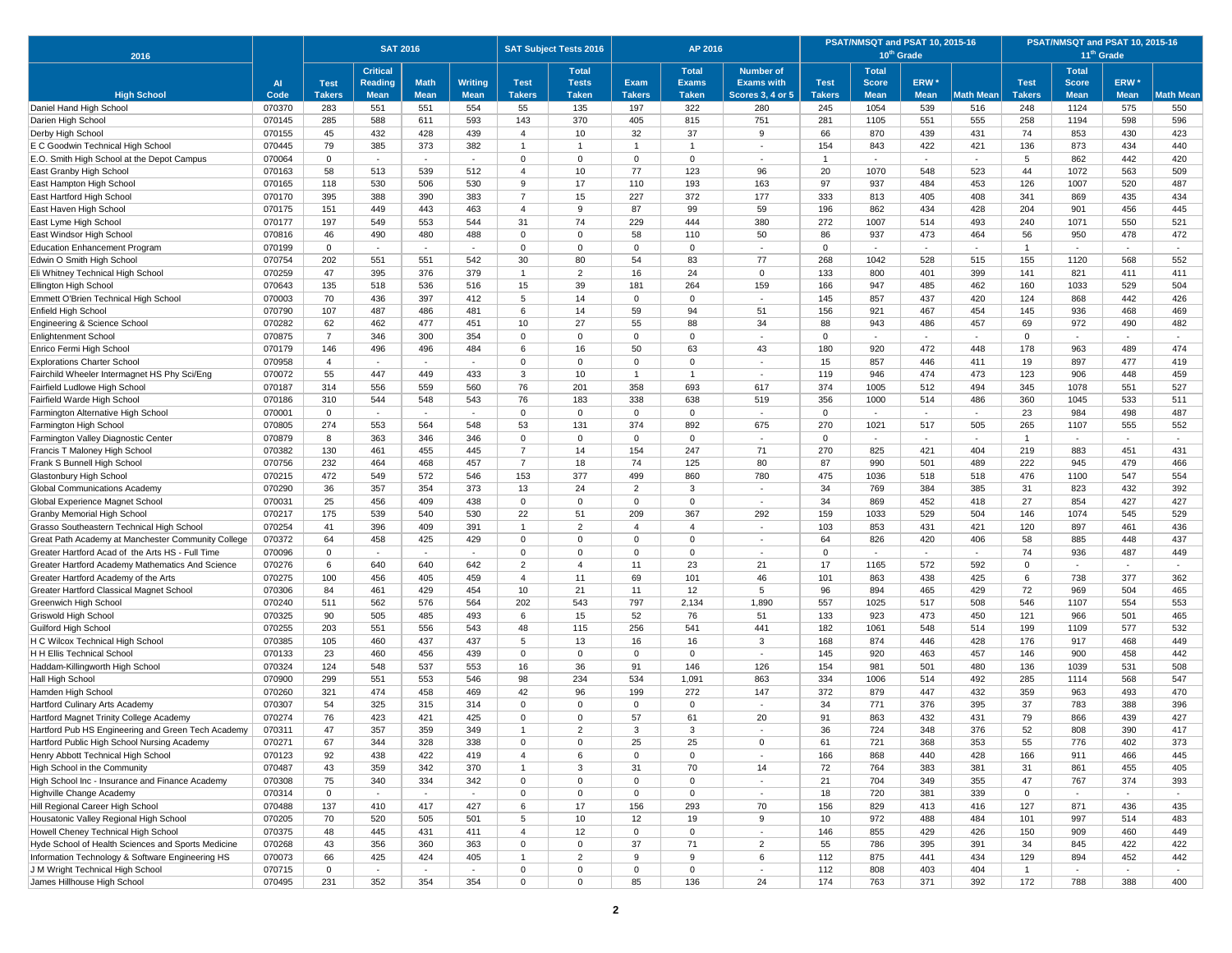| 2016                                                                      |                  |                | <b>SAT 2016</b> |             |                |                                  | <b>SAT Subject Tests 2016</b> |                 | AP 2016         |                          |               | PSAT/NMSQT and PSAT 10, 2015-16 | 10 <sup>th</sup> Grade   |                  | PSAT/NMSQT and PSAT 10, 2015-16<br>11 <sup>th</sup> Grade |                          |                             |                  |  |
|---------------------------------------------------------------------------|------------------|----------------|-----------------|-------------|----------------|----------------------------------|-------------------------------|-----------------|-----------------|--------------------------|---------------|---------------------------------|--------------------------|------------------|-----------------------------------------------------------|--------------------------|-----------------------------|------------------|--|
|                                                                           |                  |                | <b>Critical</b> |             |                |                                  | <b>Total</b>                  |                 | <b>Total</b>    | <b>Number of</b>         |               | <b>Total</b>                    |                          |                  |                                                           | <b>Total</b>             |                             |                  |  |
|                                                                           | AI               | <b>Test</b>    | <b>Reading</b>  | <b>Math</b> | <b>Writing</b> | <b>Test</b>                      | <b>Tests</b>                  | Exam            | <b>Exams</b>    | <b>Exams with</b>        | <b>Test</b>   | <b>Score</b>                    | ERW <sup>*</sup>         |                  | <b>Test</b>                                               | <b>Score</b>             | ERW <sup>*</sup>            |                  |  |
| <b>High School</b>                                                        | Code             | <b>Takers</b>  | <b>Mean</b>     | <b>Mean</b> | <b>Mean</b>    | <b>Takers</b>                    | <b>Taken</b>                  | <b>Takers</b>   | <b>Taken</b>    | <b>Scores 3, 4 or 5</b>  | <b>Takers</b> | <b>Mean</b>                     | <b>Mean</b>              | <b>Math Mean</b> | <b>Takers</b>                                             | <b>Mean</b>              | <b>Mean</b>                 | <b>Math Mean</b> |  |
| Daniel Hand High School                                                   | 070370<br>070145 | 283<br>285     | 551<br>588      | 551<br>611  | 554<br>593     | 55<br>143                        | 135<br>370                    | 197<br>405      | 322<br>815      | 280<br>751               | 245<br>281    | 1054<br>1105                    | 539<br>551               | 516<br>555       | 248<br>258                                                | 1124<br>1194             | 575<br>598                  | 550<br>596       |  |
| Darien High School<br>Derby High School                                   | 070155           | 45             | 432             | 428         | 439            | $\overline{4}$                   | 10                            | 32              | 37              | 9                        | 66            | 870                             | 439                      | 431              | 74                                                        | 853                      | 430                         | 423              |  |
| E C Goodwin Technical High School                                         | 070445           | 79             | 385             | 373         | 382            | $\overline{1}$                   | $\overline{1}$                |                 | $\mathbf{1}$    |                          | 154           | 843                             | 422                      | 421              | 136                                                       | 873                      | 434                         | 440              |  |
| E.O. Smith High School at the Depot Campus                                | 070064           | $\mathbf 0$    | $\sim$          | $\sim$      | $\sim$         | $\Omega$                         | $\Omega$                      | $\Omega$        | $\mathbf 0$     | $\sim$                   | $\mathbf{1}$  | $\sim$                          | $\sim$                   | $\sim$           | 5                                                         | 862                      | 442                         | 420              |  |
| East Granby High School                                                   | 070163           | 58             | 513             | 539         | 512            | $\overline{4}$                   | 10                            | 77              | 123             | 96                       | 20            | 1070                            | 548                      | 523              | 44                                                        | 1072                     | 563                         | 509              |  |
| East Hampton High School                                                  | 070165           | 118            | 530             | 506         | 530            | 9                                | 17                            | 110             | 193             | 163                      | 97            | 937                             | 484                      | 453              | 126                                                       | 1007                     | 520                         | 487              |  |
| East Hartford High School                                                 | 070170           | 395            | 388             | 390         | 383            | $\overline{7}$                   | 15                            | 227             | 372             | 177                      | 333           | 813                             | 405                      | 408              | 341                                                       | 869                      | 435                         | 434              |  |
| East Haven High School                                                    | 070175           | 151            | 449             | 443         | 463            | $\overline{4}$                   | 9                             | 87              | 99              | 59                       | 196           | 862                             | 434                      | 428              | 204                                                       | 901                      | 456                         | 445              |  |
| East Lyme High School                                                     | 070177           | 197            | 549             | 553         | 544            | 31                               | 74                            | 229             | 444             | 380                      | 272           | 1007                            | 514                      | 493              | 240                                                       | 1071                     | 550                         | 521              |  |
| East Windsor High School                                                  | 070816           | 46             | 490             | 480         | 488            | $\Omega$                         | 0                             | 58              | 110             | 50                       | 86            | 937                             | 473                      | 464              | 56                                                        | 950                      | 478                         | 472              |  |
| <b>Education Enhancement Program</b>                                      | 070199           | $\overline{0}$ | $\sim$          |             | $\sim$         | $\Omega$                         | $\mathbf 0$                   | $\Omega$        | $\mathbf 0$     | $\sim$                   | $\mathbf{0}$  | $\overline{a}$                  | $\sim$                   | $\sim$           | $\overline{1}$                                            | $\sim$                   | ÷                           | $\sim$           |  |
| Edwin O Smith High School                                                 | 070754           | 202            | 551             | 551         | 542            | 30                               | 80                            | 54              | 83              | 77                       | 268           | 1042                            | 528                      | 515              | 155                                                       | 1120                     | 568                         | 552              |  |
| Eli Whitney Technical High School                                         | 070259           | 47             | 395             | 376         | 379            | $\overline{1}$                   | 2                             | 16              | 24              | $\Omega$                 | 133           | 800                             | 401                      | 399              | 141                                                       | 821                      | 411                         | 411              |  |
| Ellington High School                                                     | 070643           | 135            | 518             | 536         | 516            | 15                               | 39                            | 181             | 264             | 159                      | 166           | 947                             | 485                      | 462              | 160                                                       | 1033                     | 529                         | 504              |  |
| Emmett O'Brien Technical High School                                      | 070003           | 70             | 436             | 397         | 412            | $\overline{5}$                   | 14                            | $\Omega$        | $\Omega$        |                          | 145           | 857                             | 437                      | 420              | 124                                                       | 868                      | 442                         | 426              |  |
| Enfield High School                                                       | 070790           | 107            | 487             | 486         | 481            | 6                                | 14                            | 59              | 94              | 51                       | 156           | 921                             | 467                      | 454              | 145                                                       | 936                      | 468                         | 469              |  |
| Engineering & Science School                                              | 070282           | 62             | 462             | 477         | 451            | 10                               | 27                            | 55              | 88              | 34                       | 88            | 943                             | 486                      | 457              | 69                                                        | 972                      | 490                         | 482              |  |
| <b>Enlightenment School</b>                                               | 070875           | $\overline{7}$ | 346             | 300         | 354            | $\Omega$                         | $\overline{0}$                | $\Omega$        | $\mathbf 0$     | $\sim$                   | $\mathbf 0$   | $\sim$                          | $\sim$                   | ×.               | $\mathbf 0$                                               | $\sim$                   | $\sim$                      | $\sim$           |  |
| Enrico Fermi High School                                                  | 070179           | 146            | 496             | 496         | 484            | 6                                | 16                            | 50              | 63              | 43                       | 180           | 920                             | 472                      | 448              | 178                                                       | 963                      | 489                         | 474              |  |
| <b>Explorations Charter School</b>                                        | 070958           | $\overline{4}$ | $\sim$          | $\sim$      | $\sim$         | $\Omega$                         | $\Omega$                      | $\Omega$        | $\mathbf 0$     | $\sim$                   | 15            | 857                             | 446                      | 411              | 19                                                        | 897                      | 477                         | 419              |  |
| Fairchild Wheeler Intermagnet HS Phy Sci/Eng                              | 070072           | 55             | 447             | 449         | 433            | 3                                | 10                            | $\mathbf{1}$    | $\overline{1}$  |                          | 119           | 946                             | 474                      | 473              | 123                                                       | 906                      | 448                         | 459              |  |
| Fairfield Ludlowe High School                                             | 070187           | 314            | 556             | 559         | 560            | 76                               | 201                           | 358             | 693             | 617                      | 374           | 1005                            | 512                      | 494              | 345                                                       | 1078                     | 551                         | 527              |  |
| Fairfield Warde High School                                               | 070186           | 310            | 544             | 548         | 543            | 76                               | 183                           | 338             | 638             | 519                      | 356           | 1000                            | 514                      | 486              | 360                                                       | 1045                     | 533                         | 511              |  |
| Farmington Alternative High School                                        | 070001           | $\overline{0}$ | $\sim$          | $\sim$      | $\sim$         | $\Omega$                         | $\Omega$                      | $\Omega$        | $\mathbf 0$     | $\sim$                   | $\mathbf{0}$  | $\sim$                          | $\sim$                   | $\sim$           | 23                                                        | 984                      | 498                         | 487              |  |
| Farmington High School                                                    | 070805           | 274            | 553             | 564         | 548            | 53                               | 131                           | 374             | 892             | 675                      | 270           | 1021                            | 517                      | 505              | 265                                                       | 1107                     | 555                         | 552              |  |
| Farmington Valley Diagnostic Center                                       | 070879           | 8              | 363             | 346         | 346            | $\Omega$                         | $\Omega$                      | $\mathbf 0$     | $\mathbf 0$     | $\overline{\phantom{a}}$ | $\mathbf{0}$  | $\sim$                          | $\overline{\phantom{a}}$ | $\sim$           | $\overline{1}$                                            | $\overline{\phantom{a}}$ | $\blacksquare$              | $\sim$           |  |
| Francis T Maloney High School                                             | 070382           | 130<br>232     | 461<br>464      | 455<br>468  | 445<br>457     | $\overline{7}$<br>$\overline{7}$ | 14<br>18                      | 154<br>74       | 247<br>125      | 71<br>80                 | 270<br>87     | 825<br>990                      | 421<br>501               | 404<br>489       | 219<br>222                                                | 883<br>945               | 451<br>479                  | 431<br>466       |  |
| Frank S Bunnell High School<br>Glastonbury High School                    | 070756<br>070215 | 472            | 549             | 572         | 546            | 153                              | 377                           | 499             | 860             | 780                      | 475           | 1036                            | 518                      | 518              | 476                                                       | 1100                     | 547                         | 554              |  |
| Global Communications Academy                                             | 070290           | 36             | 357             | 354         | 373            | 13                               | 24                            | 2               | 3               | $\sim$                   | 34            | 769                             | 384                      | 385              | 31                                                        | 823                      | 432                         | 392              |  |
| Global Experience Magnet School                                           | 070031           | 25             | 456             | 409         | 438            | $\Omega$                         | $\Omega$                      | $\Omega$        | $\mathbf 0$     | $\sim$                   | 34            | 869                             | 452                      | 418              | 27                                                        | 854                      | 427                         | 427              |  |
| Granby Memorial High School                                               | 070217           | 175            | 539             | 540         | 530            | 22                               | 51                            | 209             | 367             | 292                      | 159           | 1033                            | 529                      | 504              | 146                                                       | 1074                     | 545                         | 529              |  |
| Grasso Southeastern Technical High School                                 | 070254           | 41             | 396             | 409         | 391            | $\overline{1}$                   | $\overline{2}$                | $\overline{4}$  | $\overline{4}$  | $\overline{\phantom{a}}$ | 103           | 853                             | 431                      | 421              | 120                                                       | 897                      | 461                         | 436              |  |
| Great Path Academy at Manchester Community College                        | 070372           | 64             | 458             | 425         | 429            | $\mathbf 0$                      | $\Omega$                      | $\Omega$        | $\mathbf 0$     | $\sim$                   | 64            | 826                             | 420                      | 406              | 58                                                        | 885                      | 448                         | 437              |  |
| Greater Hartford Acad of the Arts HS - Full Time                          | 070096           | $\mathbf 0$    |                 |             |                | $\Omega$                         | 0                             | 0               | $\mathbf 0$     |                          | $\Omega$      |                                 |                          |                  | 74                                                        | 936                      | 487                         | 449              |  |
| Greater Hartford Academy Mathematics And Science                          | 070276           | 6              | 640             | 640         | 642            | $\overline{2}$                   | $\overline{4}$                | 11              | 23              | 21                       | 17            | 1165                            | 572                      | 592              | $\mathbf 0$                                               | $\sim$                   | $\sim$                      | $\sim$           |  |
| Greater Hartford Academy of the Arts                                      | 070275           | 100            | 456             | 405         | 459            | $\overline{4}$                   | 11                            | 69              | 101             | 46                       | 101           | 863                             | 438                      | 425              | 6                                                         | 738                      | 377                         | 362              |  |
| Greater Hartford Classical Magnet School                                  | 070306           | 84             | 461             | 429         | 454            | 10                               | 21                            | 11              | 12              | 5                        | 96            | 894                             | 465                      | 429              | 72                                                        | 969                      | 504                         | 465              |  |
| Greenwich High School                                                     | 070240           | 511            | 562             | 576         | 564            | 202                              | 543                           | 797             | 2,134           | 1,890                    | 557           | 1025                            | 517                      | 508              | 546                                                       | 1107                     | 554                         | 553              |  |
| Griswold High School                                                      | 070325           | 90             | 505             | 485         | 493            | 6                                | 15                            | 52              | 76              | 51                       | 133           | 923                             | 473                      | 450              | 121                                                       | 966                      | 501                         | 465              |  |
| Guilford High School                                                      | 070255           | 203            | 551             | 556         | 543            | 48                               | 115                           | 256             | 541             | 441                      | 182           | 1061                            | 548                      | 514              | 199                                                       | 1109                     | 577                         | 532              |  |
| H C Wilcox Technical High School                                          | 070385           | 105            | 460             | 437         | 437            | 5                                | 13                            | 16              | 16              | 3                        | 168           | 874                             | 446                      | 428              | 176                                                       | 917                      | 468                         | 449              |  |
| H H Ellis Technical School                                                | 070133           | 23             | 460             | 456         | 439            | $\Omega$                         | $\mathbf 0$                   | $\Omega$        | $\mathbf 0$     | $\sim$                   | 145           | 920                             | 463                      | 457              | 146                                                       | 900                      | 458                         | 442              |  |
| Haddam-Killingworth High School                                           | 070324           | 124            | 548             | 537         | 553            | 16                               | 36                            | 91              | 146             | 126                      | 154           | 981                             | 501                      | 480              | 136                                                       | 1039                     | 531                         | 508              |  |
| Hall High School                                                          | 070900           | 299            | 551             | 553         | 546            | 98                               | 234                           | 534             | 1,091           | 863                      | 334           | 1006                            | 514                      | 492              | 285                                                       | 1114                     | 568                         | 547              |  |
| Hamden High School                                                        | 070260<br>070307 | 321<br>54      | 474<br>325      | 458<br>315  | 469<br>314     | 42<br>$\Omega$                   | 96<br>$\Omega$                | 199<br>$\Omega$ | 272<br>$\Omega$ | 147                      | 372<br>34     | 879<br>771                      | 447<br>376               | 432<br>395       | 359<br>37                                                 | 963<br>783               | 493<br>388                  | 470              |  |
| Hartford Culinary Arts Academy<br>Hartford Magnet Trinity College Academy | 070274           | 76             | 423             | 421         | 425            | $\Omega$                         | $\Omega$                      | 57              | 61              | 20                       | 91            | 863                             | 432                      | 431              | 79                                                        | 866                      | 439                         | 396<br>427       |  |
| Hartford Pub HS Engineering and Green Tech Academy                        | 070311           | 47             | 357             | 359         | 349            |                                  | 2                             | 3               | 3               |                          | 36            | 724                             | 348                      | 376              | 52                                                        | 808                      | 390                         | 417              |  |
| Hartford Public High School Nursing Academy                               | 070271           | 67             | 344             | 328         | 338            | $\mathbf 0$                      | $\mathbf 0$                   | 25              | 25              | $\mathbf 0$              | 61            | 721                             | 368                      | 353              | 55                                                        | 776                      | 402                         | 373              |  |
| Henry Abbott Technical High School                                        | 070123           | 92             | 438             | 422         | 419            | $\overline{4}$                   | 6                             | $\mathsf 0$     | $\mathbf 0$     | $\sim$                   | 166           | 868                             | 440                      | 428              | 166                                                       | 911                      | 466                         | 445              |  |
| High School in the Community                                              | 070487           | 43             | 359             | 342         | 370            | $\mathbf{1}$                     | 3                             | 31              | 70              | 14                       | 72            | 764                             | 383                      | 381              | 31                                                        | 861                      | 455                         | 405              |  |
| High School Inc - Insurance and Finance Academy                           | 070308           | 75             | 340             | 334         | 342            | $\mathbf 0$                      | $\mathbf 0$                   | $\Omega$        | $\mathbf 0$     | $\sim$                   | 21            | 704                             | 349                      | 355              | 47                                                        | 767                      | 374                         | 393              |  |
| Highville Change Academy                                                  | 070314           | $\mathbf 0$    | $\sim$          | $\sim$      | $\sim$         | $\mathbf 0$                      | $\mathbf 0$                   | 0               | $\mathbf 0$     | $\sim$                   | 18            | 720                             | 381                      | 339              | $\mathsf 0$                                               | $\sim$                   | $\sim$                      | $\sim$           |  |
| Hill Regional Career High School                                          | 070488           | 137            | 410             | 417         | 427            | 6                                | 17                            | 156             | 293             | 70                       | 156           | 829                             | 413                      | 416              | 127                                                       | 871                      | 436                         | 435              |  |
| Housatonic Valley Regional High School                                    | 070205           | 70             | 520             | 505         | 501            | 5                                | 10                            | 12              | 19              | 9                        | 10            | 972                             | 488                      | 484              | 101                                                       | 997                      | 514                         | 483              |  |
| Howell Cheney Technical High School                                       | 070375           | 48             | 445             | 431         | 411            | $\overline{4}$                   | 12                            | 0               | $\mathbf 0$     | $\sim$                   | 146           | 855                             | 429                      | 426              | 150                                                       | 909                      | 460                         | 449              |  |
| Hyde School of Health Sciences and Sports Medicine                        | 070268           | 43             | 356             | 360         | 363            | $\mathbf 0$                      | $\mathbf 0$                   | 37              | 71              | $\overline{2}$           | 55            | 786                             | 395                      | 391              | 34                                                        | 845                      | 422                         | 422              |  |
| Information Technology & Software Engineering HS                          | 070073           | 66             | 425             | 424         | 405            | $\mathbf{1}$                     | $\overline{2}$                | 9               | 9               | 6                        | 112           | 875                             | 441                      | 434              | 129                                                       | 894                      | 452                         | 442              |  |
| J M Wright Technical High School                                          | 070715           | $\mathbf 0$    | $\mathcal{L}$   | $\sim$      | $\sim$         | $\mathbf 0$                      | 0                             | $\mathbf 0$     | $\mathbf 0$     | $\sim$                   | 112           | 808                             | 403                      | 404              | $\mathbf{1}$                                              | $\blacksquare$           | $\mathcal{L}_{\mathcal{A}}$ | $\sim$           |  |
| James Hillhouse High School                                               | 070495           | 231            | 352             | 354         | 354            | $\mathbf 0$                      | $\mathbf 0$                   | 85              | 136             | 24                       | 174           | 763                             | 371                      | 392              | 172                                                       | 788                      | 388                         | 400              |  |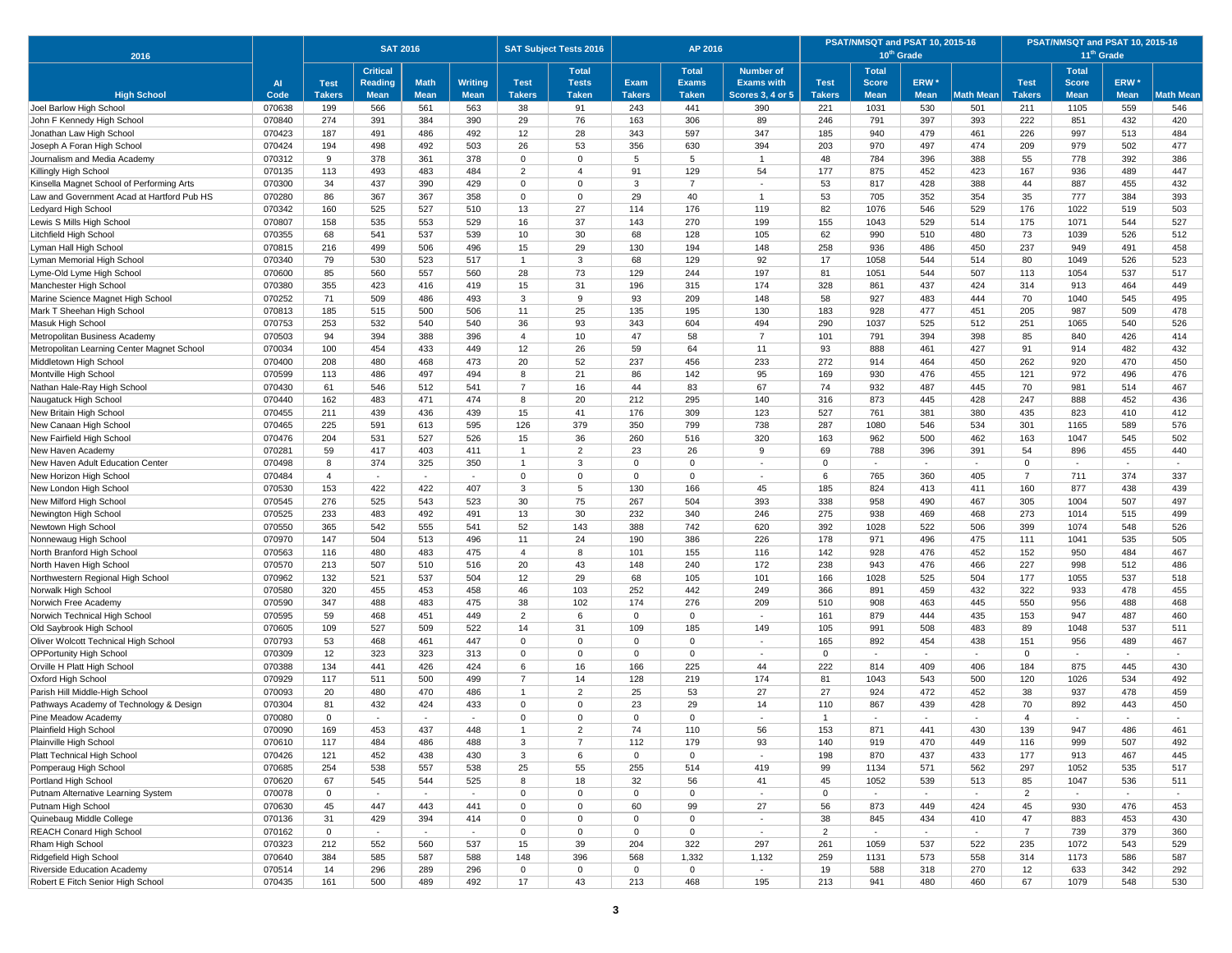| 2016                                                                   |                  |                | <b>SAT 2016</b> |             |                |                   | <b>SAT Subject Tests 2016</b> |                 | AP 2016          |                         |                | PSAT/NMSQT and PSAT 10, 2015-16 | 10 <sup>th</sup> Grade |                  | PSAT/NMSQT and PSAT 10, 2015-16<br>11 <sup>th</sup> Grade |              |                          |                  |  |
|------------------------------------------------------------------------|------------------|----------------|-----------------|-------------|----------------|-------------------|-------------------------------|-----------------|------------------|-------------------------|----------------|---------------------------------|------------------------|------------------|-----------------------------------------------------------|--------------|--------------------------|------------------|--|
|                                                                        |                  |                | <b>Critical</b> |             |                |                   | <b>Total</b>                  |                 | <b>Total</b>     | <b>Number of</b>        |                | <b>Total</b>                    |                        |                  |                                                           | <b>Total</b> |                          |                  |  |
|                                                                        | <b>AI</b>        | <b>Test</b>    | <b>Reading</b>  | <b>Math</b> | <b>Writing</b> | <b>Test</b>       | <b>Tests</b>                  | Exam            | <b>Exams</b>     | <b>Exams with</b>       | <b>Test</b>    | <b>Score</b>                    | ERW <sup>*</sup>       |                  | <b>Test</b>                                               | <b>Score</b> | ERW <sup>*</sup>         |                  |  |
| <b>High School</b>                                                     | Code             | <b>Takers</b>  | <b>Mean</b>     | <b>Mean</b> | <b>Mean</b>    | <b>Takers</b>     | <b>Taken</b>                  | <b>Takers</b>   | <b>Taken</b>     | <b>Scores 3, 4 or 5</b> | <b>Takers</b>  | <b>Mean</b>                     | <b>Mean</b>            | <b>Math Mean</b> | <b>Takers</b>                                             | <b>Mean</b>  | <b>Mean</b>              | <b>Math Mean</b> |  |
| Joel Barlow High School                                                | 070638           | 199            | 566             | 561         | 563            | 38                | 91                            | 243             | 441              | 390                     | 221            | 1031                            | 530                    | 501              | 211                                                       | 1105         | 559                      | 546              |  |
| John F Kennedy High School                                             | 070840           | 274            | 391             | 384         | 390            | 29                | 76                            | 163             | 306              | 89                      | 246            | 791                             | 397                    | 393              | 222                                                       | 851          | 432                      | 420              |  |
| Jonathan Law High School                                               | 070423<br>070424 | 187<br>194     | 491<br>498      | 486<br>492  | 492<br>503     | 12<br>26          | 28<br>53                      | 343<br>356      | 597<br>630       | 347<br>394              | 185<br>203     | 940<br>970                      | 479<br>497             | 461<br>474       | 226<br>209                                                | 997<br>979   | 513<br>502               | 484<br>477       |  |
| Joseph A Foran High School<br>Journalism and Media Academy             | 070312           | 9              | 378             | 361         | 378            | $\Omega$          | $\Omega$                      | 5               | 5                | $\mathbf{1}$            | 48             | 784                             | 396                    | 388              | 55                                                        | 778          | 392                      | 386              |  |
| Killingly High School                                                  | 070135           | 113            | 493             | 483         | 484            | $\overline{2}$    | $\overline{4}$                | 91              | 129              | 54                      | 177            | 875                             | 452                    | 423              | 167                                                       | 936          | 489                      | 447              |  |
| Kinsella Magnet School of Performing Arts                              | 070300           | 34             | 437             | 390         | 429            | $\Omega$          | $\Omega$                      | 3               | $\overline{7}$   | $\sim$                  | 53             | 817                             | 428                    | 388              | 44                                                        | 887          | 455                      | 432              |  |
| Law and Government Acad at Hartford Pub HS                             | 070280           | 86             | 367             | 367         | 358            | $\mathbf 0$       | $\mathbf 0$                   | 29              | 40               | $\mathbf{1}$            | 53             | 705                             | 352                    | 354              | 35                                                        | 777          | 384                      | 393              |  |
| Ledyard High School                                                    | 070342           | 160            | 525             | 527         | 510            | 13                | 27                            | 114             | 176              | 119                     | 82             | 1076                            | 546                    | 529              | 176                                                       | 1022         | 519                      | 503              |  |
| Lewis S Mills High School                                              | 070807           | 158            | 535             | 553         | 529            | 16                | 37                            | 143             | 270              | 199                     | 155            | 1043                            | 529                    | 514              | 175                                                       | 1071         | 544                      | 527              |  |
| Litchfield High School                                                 | 070355           | 68             | 541             | 537         | 539            | 10                | 30                            | 68              | 128              | 105                     | 62             | 990                             | 510                    | 480              | 73                                                        | 1039         | 526                      | 512              |  |
| Lyman Hall High School                                                 | 070815           | 216            | 499             | 506         | 496            | 15                | 29                            | 130             | 194              | 148                     | 258            | 936                             | 486                    | 450              | 237                                                       | 949          | 491                      | 458              |  |
| Lyman Memorial High School                                             | 070340           | 79             | 530             | 523         | 517            | $\overline{1}$    | 3                             | 68              | 129              | 92                      | 17             | 1058                            | 544                    | 514              | 80                                                        | 1049         | 526                      | 523              |  |
| Lyme-Old Lyme High School                                              | 070600           | 85             | 560             | 557         | 560            | 28                | 73                            | 129             | 244              | 197                     | 81             | 1051                            | 544                    | 507              | 113                                                       | 1054         | 537                      | 517              |  |
| Manchester High School                                                 | 070380           | 355            | 423             | 416         | 419            | 15                | 31                            | 196             | 315              | 174                     | 328            | 861                             | 437                    | 424              | 314                                                       | 913          | 464                      | 449              |  |
| Marine Science Magnet High School                                      | 070252           | 71             | 509             | 486         | 493            | 3                 | $_{9}$                        | 93              | 209              | 148                     | 58             | 927                             | 483                    | 444              | 70                                                        | 1040         | 545                      | 495              |  |
| Mark T Sheehan High School                                             | 070813           | 185            | 515             | 500         | 506            | 11                | 25                            | 135             | 195              | 130                     | 183            | 928                             | 477                    | 451              | 205                                                       | 987          | 509                      | 478              |  |
| Masuk High School                                                      | 070753           | 253            | 532             | 540         | 540            | 36                | 93                            | 343             | 604              | 494                     | 290            | 1037                            | 525                    | 512              | 251                                                       | 1065         | 540                      | 526              |  |
| Metropolitan Business Academy                                          | 070503           | 94             | 394             | 388         | 396            | $\overline{4}$    | 10                            | 47              | 58               | $\overline{7}$          | 101            | 791                             | 394                    | 398              | 85                                                        | 840          | 426                      | 414              |  |
| Metropolitan Learning Center Magnet School                             | 070034           | 100            | 454             | 433         | 449            | 12                | 26                            | 59              | 64               | 11                      | 93             | 888                             | 461                    | 427              | 91                                                        | 914          | 482                      | 432              |  |
| Middletown High School                                                 | 070400           | 208            | 480             | 468         | 473            | 20                | 52                            | 237             | 456              | 233                     | 272            | 914                             | 464                    | 450              | 262                                                       | 920          | 470                      | 450              |  |
| Montville High Schoo                                                   | 070599           | 113            | 486             | 497         | 494            | 8                 | 21                            | 86              | 142              | 95                      | 169            | 930                             | 476                    | 455              | 121                                                       | 972          | 496                      | 476              |  |
| Nathan Hale-Ray High School                                            | 070430           | 61             | 546             | 512         | 541            | $\overline{7}$    | 16                            | 44              | 83               | 67                      | 74             | 932                             | 487                    | 445              | 70                                                        | 981          | 514                      | 467              |  |
| Naugatuck High School                                                  | 070440           | 162            | 483             | 471         | 474            | 8                 | 20                            | 212             | 295              | 140                     | 316            | 873                             | 445                    | 428              | 247                                                       | 888          | 452                      | 436              |  |
| New Britain High School                                                | 070455<br>070465 | 211<br>225     | 439<br>591      | 436<br>613  | 439<br>595     | 15<br>126         | 41<br>379                     | 176<br>350      | 309<br>799       | 123<br>738              | 527<br>287     | 761<br>1080                     | 381<br>546             | 380<br>534       | 435<br>301                                                | 823<br>1165  | 410<br>589               | 412<br>576       |  |
| New Canaan High Schoo<br>New Fairfield High School                     | 070476           | 204            | 531             | 527         | 526            | 15                | 36                            | 260             | 516              | 320                     | 163            | 962                             | 500                    | 462              | 163                                                       | 1047         | 545                      | 502              |  |
| New Haven Academy                                                      | 070281           | 59             | 417             | 403         | 411            | $\overline{1}$    | $\overline{2}$                | 23              | 26               | 9                       | 69             | 788                             | 396                    | 391              | 54                                                        | 896          | 455                      | 440              |  |
| New Haven Adult Education Center                                       | 070498           | 8              | 374             | 325         | 350            | $\overline{1}$    | 3                             | $\Omega$        | $\Omega$         |                         | $\Omega$       |                                 |                        |                  | $\mathbf 0$                                               |              | $\overline{\phantom{a}}$ |                  |  |
| New Horizon High School                                                | 070484           | $\overline{4}$ | $\sim$          | $\sim$      | $\sim$         | $\Omega$          | $\Omega$                      | $\Omega$        | $\mathbf 0$      | $\sim$                  | 6              | 765                             | 360                    | 405              | $\overline{7}$                                            | 711          | 374                      | 337              |  |
| New London High School                                                 | 070530           | 153            | 422             | 422         | 407            | 3                 | 5                             | 130             | 166              | 45                      | 185            | 824                             | 413                    | 411              | 160                                                       | 877          | 438                      | 439              |  |
| New Milford High School                                                | 070545           | 276            | 525             | 543         | 523            | 30                | 75                            | 267             | 504              | 393                     | 338            | 958                             | 490                    | 467              | 305                                                       | 1004         | 507                      | 497              |  |
| Newington High School                                                  | 070525           | 233            | 483             | 492         | 491            | 13                | 30                            | 232             | 340              | 246                     | 275            | 938                             | 469                    | 468              | 273                                                       | 1014         | 515                      | 499              |  |
| Newtown High School                                                    | 070550           | 365            | 542             | 555         | 541            | 52                | 143                           | 388             | 742              | 620                     | 392            | 1028                            | 522                    | 506              | 399                                                       | 1074         | 548                      | 526              |  |
| Nonnewaug High School                                                  | 070970           | 147            | 504             | 513         | 496            | 11                | 24                            | 190             | 386              | 226                     | 178            | 971                             | 496                    | 475              | 111                                                       | 1041         | 535                      | 505              |  |
| North Branford High School                                             | 070563           | 116            | 480             | 483         | 475            | $\overline{4}$    | 8                             | 101             | 155              | 116                     | 142            | 928                             | 476                    | 452              | 152                                                       | 950          | 484                      | 467              |  |
| North Haven High School                                                | 070570           | 213            | 507             | 510         | 516            | 20                | 43                            | 148             | 240              | 172                     | 238            | 943                             | 476                    | 466              | 227                                                       | 998          | 512                      | 486              |  |
| Northwestern Regional High School                                      | 070962           | 132            | 521             | 537         | 504            | 12                | 29                            | 68              | 105              | 101                     | 166            | 1028                            | 525                    | 504              | 177                                                       | 1055         | 537                      | 518              |  |
| Norwalk High School                                                    | 070580           | 320            | 455             | 453         | 458            | 46                | 103                           | 252             | 442              | 249                     | 366            | 891                             | 459                    | 432              | 322                                                       | 933          | 478                      | 455              |  |
| Norwich Free Academy                                                   | 070590           | 347            | 488             | 483         | 475            | 38                | 102                           | 174             | 276              | 209                     | 510            | 908                             | 463                    | 445              | 550                                                       | 956          | 488                      | 468              |  |
| Norwich Technical High School                                          | 070595           | 59             | 468             | 451         | 449            | $\overline{2}$    | 6                             | $\Omega$        | $\mathbf 0$      | $\sim$                  | 161            | 879                             | 444                    | 435              | 153                                                       | 947          | 487                      | 460              |  |
| Old Saybrook High School                                               | 070605           | 109<br>53      | 527<br>468      | 509<br>461  | 522<br>447     | 14<br>$\mathbf 0$ | 31<br>0                       | 109<br>$\Omega$ | 185              | 149                     | 105<br>165     | 991<br>892                      | 508<br>454             | 483<br>438       | 89<br>151                                                 | 1048<br>956  | 537<br>489               | 511<br>467       |  |
| Oliver Wolcott Technical High School<br><b>OPPortunity High School</b> | 070793<br>070309 | 12             | 323             | 323         | 313            | $\Omega$          | $\Omega$                      | $\Omega$        | 0<br>$\mathbf 0$ |                         | $\mathbf 0$    | $\sim$                          | $\sim$                 | ×                | $\mathbf 0$                                               | $\sim$       | ×.                       | ÷.               |  |
| Orville H Platt High School                                            | 070388           | 134            | 441             | 426         | 424            | 6                 | 16                            | 166             | 225              | 44                      | 222            | 814                             | 409                    | 406              | 184                                                       | 875          | 445                      | 430              |  |
| Oxford High School                                                     | 070929           | 117            | 511             | 500         | 499            | $\overline{7}$    | 14                            | 128             | 219              | 174                     | 81             | 1043                            | 543                    | 500              | 120                                                       | 1026         | 534                      | 492              |  |
| Parish Hill Middle-High School                                         | 070093           | 20             | 480             | 470         | 486            | $\overline{1}$    | $\overline{2}$                | 25              | 53               | 27                      | 27             | 924                             | 472                    | 452              | 38                                                        | 937          | 478                      | 459              |  |
| Pathways Academy of Technology & Design                                | 070304           | 81             | 432             | 424         | 433            | $\Omega$          | $\Omega$                      | 23              | 29               | 14                      | 110            | 867                             | 439                    | 428              | 70                                                        | 892          | 443                      | 450              |  |
| Pine Meadow Academy                                                    | 070080           | $\mathbf 0$    | $\sim$          |             | ÷.             | $\Omega$          | $\Omega$                      | $\Omega$        | $\mathbf 0$      |                         | $\overline{1}$ | $\sim$                          |                        | $\sim$           | $\overline{4}$                                            | $\sim$       | $\sim$                   | $\sim$           |  |
| Plainfield High School                                                 | 070090           | 169            | 453             | 437         | 448            |                   | 2                             | 74              | 110              | 56                      | 153            | 871                             | 441                    | 430              | 139                                                       | 947          | 486                      | 461              |  |
| Plainville High School                                                 | 070610           | 117            | 484             | 486         | 488            | 3                 | $\overline{7}$                | 112             | 179              | 93                      | 140            | 919                             | 470                    | 449              | 116                                                       | 999          | 507                      | 492              |  |
| Platt Technical High School                                            | 070426           | 121            | 452             | 438         | 430            | 3                 | 6                             | $\mathsf 0$     | $\mathsf 0$      | $\sim$                  | 198            | 870                             | 437                    | 433              | 177                                                       | 913          | 467                      | 445              |  |
| Pomperaug High School                                                  | 070685           | 254            | 538             | 557         | 538            | 25                | 55                            | 255             | 514              | 419                     | 99             | 1134                            | 571                    | 562              | 297                                                       | 1052         | 535                      | 517              |  |
| Portland High School                                                   | 070620           | 67             | 545             | 544         | 525            | 8                 | 18                            | 32              | 56               | 41                      | 45             | 1052                            | 539                    | 513              | 85                                                        | 1047         | 536                      | 511              |  |
| Putnam Alternative Learning System                                     | 070078           | $\mathbf 0$    | $\sim$          | $\sim$      | $\sim$         | $\Omega$          | $\mathsf 0$                   | $\mathbf 0$     | $\mathbf 0$      | $\sim$                  | 0              | $\sim$                          | $\sim$                 | $\sim$           | $\overline{2}$                                            | $\sim$       | $\sim$                   | $\sim$           |  |
| Putnam High School                                                     | 070630           | 45             | 447             | 443         | 441            | $\mathbf 0$       | $\mathbf 0$                   | 60              | 99               | 27                      | 56             | 873                             | 449                    | 424              | 45                                                        | 930          | 476                      | 453              |  |
| Quinebaug Middle College                                               | 070136           | 31             | 429             | 394         | 414            | $\mathbf 0$       | $\mathbf 0$                   | $\mathbf 0$     | $\mathbf 0$      | $\sim$                  | 38             | 845                             | 434                    | 410              | 47                                                        | 883          | 453                      | 430              |  |
| <b>REACH Conard High School</b>                                        | 070162           | $\mathbf 0$    | $\sim$          | $\sim$      | $\sim$         | $\mathbf 0$       | $\mathsf 0$                   | $\mathbf 0$     | $\mathsf 0$      | $\sim$                  | $\overline{2}$ | $\sim$                          | $\sim$                 | $\omega$         | $\overline{7}$                                            | 739          | 379                      | 360              |  |
| Rham High School                                                       | 070323           | 212            | 552             | 560         | 537            | 15                | 39                            | 204             | 322              | 297                     | 261            | 1059                            | 537                    | 522              | 235                                                       | 1072         | 543                      | 529              |  |
| Ridgefield High School                                                 | 070640           | 384            | 585             | 587         | 588            | 148               | 396                           | 568             | 1,332            | 1,132                   | 259            | 1131                            | 573                    | 558              | 314                                                       | 1173         | 586                      | 587              |  |
| Riverside Education Academy                                            | 070514           | 14             | 296             | 289         | 296            | $\mathbf 0$       | 0                             | $\mathbf 0$     | $\mathbf 0$      | $\sim$                  | 19             | 588                             | 318                    | 270              | 12                                                        | 633          | 342                      | 292              |  |
| Robert E Fitch Senior High School                                      | 070435           | 161            | 500             | 489         | 492            | 17                | 43                            | 213             | 468              | 195                     | 213            | 941                             | 480                    | 460              | 67                                                        | 1079         | 548                      | 530              |  |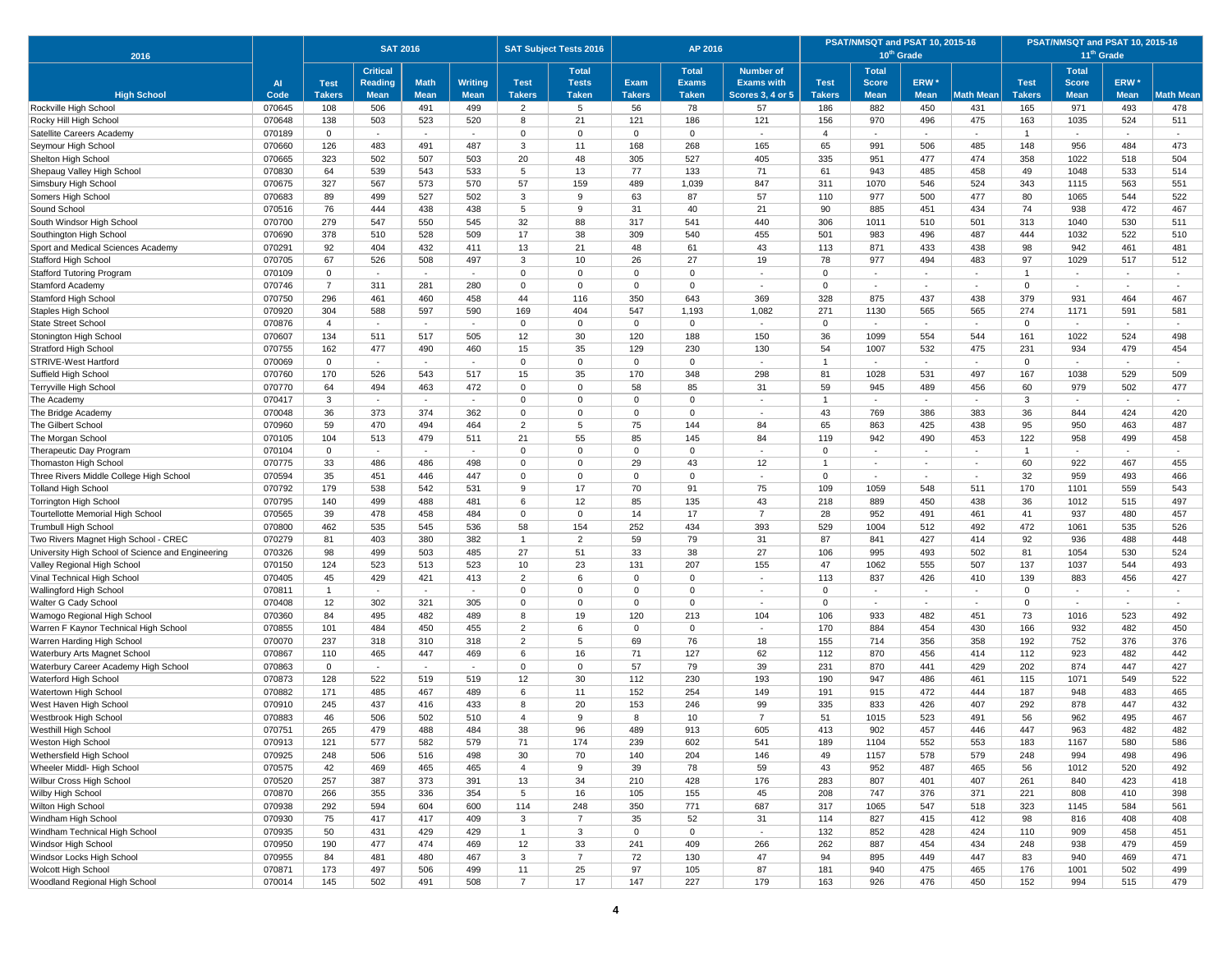| 2016                                                |                  |                | <b>SAT 2016</b> |             |                          |                     | <b>SAT Subject Tests 2016</b> |               | AP 2016             |                          |                | PSAT/NMSQT and PSAT 10, 2015-16 | 10 <sup>th</sup> Grade |                          | PSAT/NMSQT and PSAT 10, 2015-16<br>11 <sup>th</sup> Grade |              |                          |            |  |
|-----------------------------------------------------|------------------|----------------|-----------------|-------------|--------------------------|---------------------|-------------------------------|---------------|---------------------|--------------------------|----------------|---------------------------------|------------------------|--------------------------|-----------------------------------------------------------|--------------|--------------------------|------------|--|
|                                                     |                  |                | <b>Critical</b> |             |                          |                     | <b>Total</b>                  |               | <b>Total</b>        | <b>Number of</b>         |                | <b>Total</b>                    |                        |                          |                                                           | <b>Total</b> |                          |            |  |
|                                                     | <b>AI</b>        | <b>Test</b>    | <b>Reading</b>  | <b>Math</b> | <b>Writing</b>           | <b>Test</b>         | <b>Tests</b>                  | <b>Exam</b>   | <b>Exams</b>        | <b>Exams with</b>        | <b>Test</b>    | <b>Score</b>                    | ERW <sup>*</sup>       |                          | <b>Test</b>                                               | <b>Score</b> | ERW <sup>*</sup>         |            |  |
| <b>High School</b>                                  | Code             | <b>Takers</b>  | <b>Mean</b>     | <b>Mean</b> | <b>Mean</b>              | <b>Takers</b>       | <b>Taken</b>                  | <b>Takers</b> | <b>Taken</b>        | <b>Scores 3, 4 or 5</b>  | <b>Takers</b>  | <b>Mean</b>                     | <b>Mean</b>            | Math Mean                | <b>Takers</b>                                             | <b>Mean</b>  | <b>Mean</b>              | Math Mean  |  |
| Rockville High School                               | 070645<br>070648 | 108<br>138     | 506<br>503      | 491<br>523  | 499<br>520               | $\overline{2}$<br>8 | $5\overline{5}$<br>21         | 56<br>121     | 78<br>186           | 57<br>121                | 186<br>156     | 882<br>970                      | 450                    | 431<br>475               | 165<br>163                                                | 971<br>1035  | 493<br>524               | 478<br>511 |  |
| Rocky Hill High School<br>Satellite Careers Academy | 070189           | $\mathbf 0$    | $\sim$          | $\sim$      | $\sim$                   | $\mathbf 0$         | $\mathbf 0$                   | $\Omega$      | $\mathbf 0$         | $\sim$                   | $\overline{4}$ | $\sim$                          | 496<br>$\sim$          | $\sim$                   | -1                                                        | $\sim$       | $\sim$                   | $\sim$     |  |
| Seymour High Schoo                                  | 070660           | 126            | 483             | 491         | 487                      | 3                   | 11                            | 168           | 268                 | 165                      | 65             | 991                             | 506                    | 485                      | 148                                                       | 956          | 484                      | 473        |  |
| Shelton High School                                 | 070665           | 323            | 502             | 507         | 503                      | 20                  | 48                            | 305           | 527                 | 405                      | 335            | 951                             | 477                    | 474                      | 358                                                       | 1022         | 518                      | 504        |  |
| Shepaug Valley High School                          | 070830           | 64             | 539             | 543         | 533                      | 5                   | 13                            | 77            | 133                 | 71                       | 61             | 943                             | 485                    | 458                      | 49                                                        | 1048         | 533                      | 514        |  |
| Simsbury High School                                | 070675           | 327            | 567             | 573         | 570                      | 57                  | 159                           | 489           | 1,039               | 847                      | 311            | 1070                            | 546                    | 524                      | 343                                                       | 1115         | 563                      | 551        |  |
| Somers High School                                  | 070683           | 89             | 499             | 527         | 502                      | 3                   | 9                             | 63            | 87                  | 57                       | 110            | 977                             | 500                    | 477                      | 80                                                        | 1065         | 544                      | 522        |  |
| Sound School                                        | 070516           | 76             | 444             | 438         | 438                      | 5                   | 9                             | 31            | 40                  | 21                       | 90             | 885                             | 451                    | 434                      | 74                                                        | 938          | 472                      | 467        |  |
| South Windsor High School                           | 070700           | 279            | 547             | 550         | 545                      | 32                  | 88                            | 317           | 541                 | 440                      | 306            | 1011                            | 510                    | 501                      | 313                                                       | 1040         | 530                      | 511        |  |
| Southington High School                             | 070690           | 378            | 510             | 528         | 509                      | 17                  | 38                            | 309           | 540                 | 455                      | 501            | 983                             | 496                    | 487                      | 444                                                       | 1032         | 522                      | 510        |  |
| Sport and Medical Sciences Academy                  | 070291           | 92             | 404             | 432         | 411                      | 13                  | 21                            | 48            | 61                  | 43                       | 113            | 871                             | 433                    | 438                      | 98                                                        | 942          | 461                      | 481        |  |
| Stafford High School                                | 070705           | 67             | 526             | 508         | 497                      | 3                   | 10                            | 26            | 27                  | 19                       | 78             | 977                             | 494                    | 483                      | 97                                                        | 1029         | 517                      | 512        |  |
| <b>Stafford Tutoring Program</b>                    | 070109           | $\mathbf 0$    | $\sim$          | $\sim$      | $\sim$                   | $\Omega$            | $\Omega$                      | $\Omega$      | $\Omega$            | $\sim$                   | $\Omega$       | $\sim$                          | $\sim$                 | $\sim$                   |                                                           | $\sim$       | $\sim$                   | $\sim$     |  |
| Stamford Academy                                    | 070746           | $\overline{7}$ | 311             | 281         | 280                      | $\mathbf 0$         | $\overline{0}$                | $\mathbf 0$   | $\mathbf 0$         | $\sim$                   | $\mathbf 0$    | $\sim$                          |                        | $\sim$                   | $\mathbf 0$                                               | $\sim$       | $\sim$                   | $\sim$     |  |
| Stamford High School                                | 070750           | 296            | 461             | 460         | 458                      | 44                  | 116                           | 350           | 643                 | 369                      | 328            | 875                             | 437                    | 438                      | 379                                                       | 931          | 464                      | 467        |  |
| Staples High School                                 | 070920           | 304            | 588             | 597         | 590                      | 169                 | 404                           | 547           | 1,193               | 1,082                    | 271            | 1130                            | 565                    | 565                      | 274                                                       | 1171         | 591                      | 581        |  |
| <b>State Street School</b>                          | 070876           | $\overline{4}$ | $\sim$          |             | $\overline{\phantom{a}}$ | $\Omega$            | $\mathbf 0$                   | 0             | $\mathbf 0$         | $\sim$                   | $\mathbf{0}$   |                                 | $\sim$                 |                          | $\mathbf 0$                                               |              | $\overline{\phantom{a}}$ |            |  |
| Stonington High School                              | 070607           | 134            | 511             | 517         | 505                      | 12                  | 30                            | 120           | 188                 | 150                      | 36             | 1099                            | 554                    | 544                      | 161                                                       | 1022         | 524                      | 498        |  |
| <b>Stratford High School</b>                        | 070755           | 162            | 477             | 490         | 460                      | 15                  | 35                            | 129           | 230                 | 130                      | 54             | 1007                            | 532                    | 475                      | 231                                                       | 934          | 479                      | 454        |  |
| STRIVE-West Hartford                                | 070069           | $\mathbf 0$    | $\sim$          | $\sim$      | $\sim$                   | $\Omega$            | $\mathbf 0$                   | $\Omega$      | $\mathbf 0$         | $\sim$                   |                | $\sim$                          | $\sim$                 | $\sim$                   | $\mathbf 0$                                               | ٠            | $\sim$                   | $\sim$     |  |
| Suffield High School                                | 070760           | 170            | 526             | 543         | 517                      | 15                  | 35                            | 170           | 348                 | 298                      | 81             | 1028                            | 531                    | 497                      | 167                                                       | 1038         | 529                      | 509        |  |
| Terryville High School                              | 070770           | 64             | 494             | 463         | 472                      | $\Omega$            | $\overline{0}$                | 58            | 85                  | 31                       | 59             | 945                             | 489                    | 456                      | 60                                                        | 979          | 502                      | 477        |  |
| The Academy                                         | 070417           | 3              | $\sim$          | $\sim$      | $\sim$                   | $\mathbf 0$         | $\mathbf 0$                   | $\mathbf 0$   | $\mathbf 0$         | $\sim$                   |                | $\sim$                          | $\sim$                 | $\sim$                   | 3                                                         | $\sim$       | $\sim$                   | $\sim$     |  |
| The Bridge Academy<br>The Gilbert School            | 070048           | 36<br>59       | 373             | 374<br>494  | 362                      | $\Omega$<br>2       | $\Omega$<br>5                 | $\Omega$      | $\mathbf{0}$<br>144 | 84                       | 43             | 769                             | 386                    | 383                      | 36<br>95                                                  | 844          | 424                      | 420        |  |
| The Morgan Schoo                                    | 070960<br>070105 | 104            | 470<br>513      | 479         | 464<br>511               | 21                  | 55                            | 75<br>85      | 145                 | 84                       | 65<br>119      | 863<br>942                      | 425<br>490             | 438<br>453               | 122                                                       | 950<br>958   | 463<br>499               | 487<br>458 |  |
| Therapeutic Day Program                             | 070104           | $\mathbf 0$    | $\sim$          | $\sim$      | $\sim$                   | $\Omega$            | $\mathbf 0$                   | $\Omega$      | $\mathbf 0$         | $\overline{\phantom{a}}$ | $\mathbf 0$    | $\sim$                          | $\sim$                 | $\sim$                   | 1                                                         | ٠            | $\sim$                   | $\sim$     |  |
| Thomaston High School                               | 070775           | 33             | 486             | 486         | 498                      | $\Omega$            | $\overline{0}$                | 29            | 43                  | 12                       |                | $\sim$                          | $\sim$                 | $\overline{\phantom{a}}$ | 60                                                        | 922          | 467                      | 455        |  |
| Three Rivers Middle College High School             | 070594           | 35             | 451             | 446         | 447                      | $\Omega$            | $\Omega$                      | $\Omega$      | $\Omega$            | $\sim$                   | $\mathbf{0}$   | $\sim$                          | $\sim$                 | $\sim$                   | 32                                                        | 959          | 493                      | 466        |  |
| <b>Tolland High School</b>                          | 070792           | 179            | 538             | 542         | 531                      | 9                   | 17                            | 70            | 91                  | 75                       | 109            | 1059                            | 548                    | 511                      | 170                                                       | 1101         | 559                      | 543        |  |
| <b>Torrington High School</b>                       | 070795           | 140            | 499             | 488         | 481                      | 6                   | 12                            | 85            | 135                 | 43                       | 218            | 889                             | 450                    | 438                      | 36                                                        | 1012         | 515                      | 497        |  |
| <b>Tourtellotte Memorial High School</b>            | 070565           | 39             | 478             | 458         | 484                      | $\mathbf 0$         | $\mathbf 0$                   | 14            | 17                  | $\overline{7}$           | 28             | 952                             | 491                    | 461                      | 41                                                        | 937          | 480                      | 457        |  |
| <b>Trumbull High School</b>                         | 070800           | 462            | 535             | 545         | 536                      | 58                  | 154                           | 252           | 434                 | 393                      | 529            | 1004                            | 512                    | 492                      | 472                                                       | 1061         | 535                      | 526        |  |
| Two Rivers Magnet High School - CREC                | 070279           | 81             | 403             | 380         | 382                      | $\mathbf{1}$        | $\overline{2}$                | 59            | 79                  | 31                       | 87             | 841                             | 427                    | 414                      | 92                                                        | 936          | 488                      | 448        |  |
| University High School of Science and Engineering   | 070326           | 98             | 499             | 503         | 485                      | 27                  | 51                            | 33            | 38                  | 27                       | 106            | 995                             | 493                    | 502                      | 81                                                        | 1054         | 530                      | 524        |  |
| Valley Regional High School                         | 070150           | 124            | 523             | 513         | 523                      | 10                  | 23                            | 131           | 207                 | 155                      | 47             | 1062                            | 555                    | 507                      | 137                                                       | 1037         | 544                      | 493        |  |
| Vinal Technical High School                         | 070405           | 45             | 429             | 421         | 413                      | 2                   | 6                             | $\Omega$      | $\mathbf{0}$        |                          | 113            | 837                             | 426                    | 410                      | 139                                                       | 883          | 456                      | 427        |  |
| Wallingford High School                             | 070811           | $\overline{1}$ | $\sim$          | $\sim$      | $\sim$                   | $\Omega$            | $\Omega$                      | $\Omega$      | $\mathbf{0}$        | $\sim$                   | $\mathbf{0}$   | $\sim$                          | $\sim$                 | $\sim$                   | $\Omega$                                                  | $\sim$       | $\sim$                   | $\sim$     |  |
| Walter G Cady School                                | 070408           | 12             | 302             | 321         | 305                      | $\mathbf 0$         | $\overline{0}$                | $\mathbf 0$   | $\mathbf 0$         | $\sim$                   | $\mathbf 0$    | $\sim$                          | $\sim$                 | $\sim$                   | $\mathbf 0$                                               | $\sim$       | $\sim$                   | $\sim$     |  |
| Wamogo Regional High School                         | 070360           | 84             | 495             | 482         | 489                      | 8                   | 19                            | 120           | 213                 | 104                      | 106            | 933                             | 482                    | 451                      | 73                                                        | 1016         | 523                      | 492        |  |
| Warren F Kaynor Technical High School               | 070855           | 101            | 484             | 450         | 455                      | $\overline{2}$      | 6                             | $\mathbf 0$   | $\mathsf 0$         |                          | 170            | 884                             | 454                    | 430                      | 166                                                       | 932          | 482                      | 450        |  |
| Warren Harding High School                          | 070070           | 237            | 318             | 310         | 318                      | 2                   | 5                             | 69            | 76                  | 18                       | 155            | 714                             | 356                    | 358                      | 192                                                       | 752          | 376                      | 376        |  |
| Waterbury Arts Magnet School                        | 070867           | 110            | 465             | 447         | 469                      | 6                   | 16                            | 71            | 127                 | 62                       | 112            | 870                             | 456                    | 414                      | 112                                                       | 923          | 482                      | 442        |  |
| Waterbury Career Academy High School                | 070863           | $\mathbf 0$    | $\sim$          |             | $\sim$                   | $\Omega$            | $\mathbf 0$                   | 57            | 79                  | 39                       | 231            | 870                             | 441                    | 429                      | 202                                                       | 874          | 447                      | 427        |  |
| Waterford High School                               | 070873<br>070882 | 128<br>171     | 522<br>485      | 519<br>467  | 519<br>489               | 12<br>6             | 30<br>11                      | 112<br>152    | 230<br>254          | 193<br>149               | 190<br>191     | 947<br>915                      | 486<br>472             | 461<br>444               | 115<br>187                                                | 1071<br>948  | 549<br>483               | 522<br>465 |  |
| Watertown High School<br>West Haven High School     | 070910           | 245            | 437             | 416         | 433                      | 8                   | 20                            | 153           | 246                 | 99                       | 335            | 833                             | 426                    | 407                      | 292                                                       | 878          | 447                      | 432        |  |
| Westbrook High Schoo                                | 070883           | 46             | 506             | 502         | 510                      | $\overline{4}$      | 9                             | 8             | 10                  | $\overline{7}$           | 51             | 1015                            | 523                    | 491                      | 56                                                        | 962          | 495                      | 467        |  |
| Westhill High School                                | 070751           | 265            | 479             | 488         | 484                      | 38                  | 96                            | 489           | 913                 | 605                      | 413            | 902                             | 457                    | 446                      | 447                                                       | 963          | 482                      | 482        |  |
| Weston High School                                  | 070913           | 121            | 577             | 582         | 579                      | 71                  | 174                           | 239           | 602                 | 541                      | 189            | 1104                            | 552                    | 553                      | 183                                                       | 1167         | 580                      | 586        |  |
| Wethersfield High School                            | 070925           | 248            | 506             | 516         | 498                      | 30                  | 70                            | 140           | 204                 | 146                      | 49             | 1157                            | 578                    | 579                      | 248                                                       | 994          | 498                      | 496        |  |
| Wheeler Middl- High School                          | 070575           | 42             | 469             | 465         | 465                      | $\overline{4}$      | 9                             | 39            | 78                  | 59                       | 43             | 952                             | 487                    | 465                      | 56                                                        | 1012         | 520                      | 492        |  |
| Wilbur Cross High School                            | 070520           | 257            | 387             | 373         | 391                      | 13                  | 34                            | 210           | 428                 | 176                      | 283            | 807                             | 401                    | 407                      | 261                                                       | 840          | 423                      | 418        |  |
| Wilby High School                                   | 070870           | 266            | 355             | 336         | 354                      | 5                   | 16                            | 105           | 155                 | 45                       | 208            | 747                             | 376                    | 371                      | 221                                                       | 808          | 410                      | 398        |  |
| Wilton High School                                  | 070938           | 292            | 594             | 604         | 600                      | 114                 | 248                           | 350           | 771                 | 687                      | 317            | 1065                            | 547                    | 518                      | 323                                                       | 1145         | 584                      | 561        |  |
| Windham High School                                 | 070930           | 75             | 417             | 417         | 409                      | 3                   | $\overline{7}$                | 35            | 52                  | 31                       | 114            | 827                             | 415                    | 412                      | 98                                                        | 816          | 408                      | 408        |  |
| Windham Technical High School                       | 070935           | 50             | 431             | 429         | 429                      | $\mathbf{1}$        | 3                             | $\mathsf 0$   | $\mathbf 0$         | $\omega$                 | 132            | 852                             | 428                    | 424                      | 110                                                       | 909          | 458                      | 451        |  |
| Windsor High School                                 | 070950           | 190            | 477             | 474         | 469                      | 12                  | 33                            | 241           | 409                 | 266                      | 262            | 887                             | 454                    | 434                      | 248                                                       | 938          | 479                      | 459        |  |
| Windsor Locks High School                           | 070955           | 84             | 481             | 480         | 467                      | 3                   | $\overline{7}$                | 72            | 130                 | 47                       | 94             | 895                             | 449                    | 447                      | 83                                                        | 940          | 469                      | 471        |  |
| Wolcott High School                                 | 070871           | 173            | 497             | 506         | 499                      | 11                  | 25                            | 97            | 105                 | 87                       | 181            | 940                             | 475                    | 465                      | 176                                                       | 1001         | 502                      | 499        |  |
| Woodland Regional High School                       | 070014           | 145            | 502             | 491         | 508                      | $\overline{7}$      | 17                            | 147           | 227                 | 179                      | 163            | 926                             | 476                    | 450                      | 152                                                       | 994          | 515                      | 479        |  |